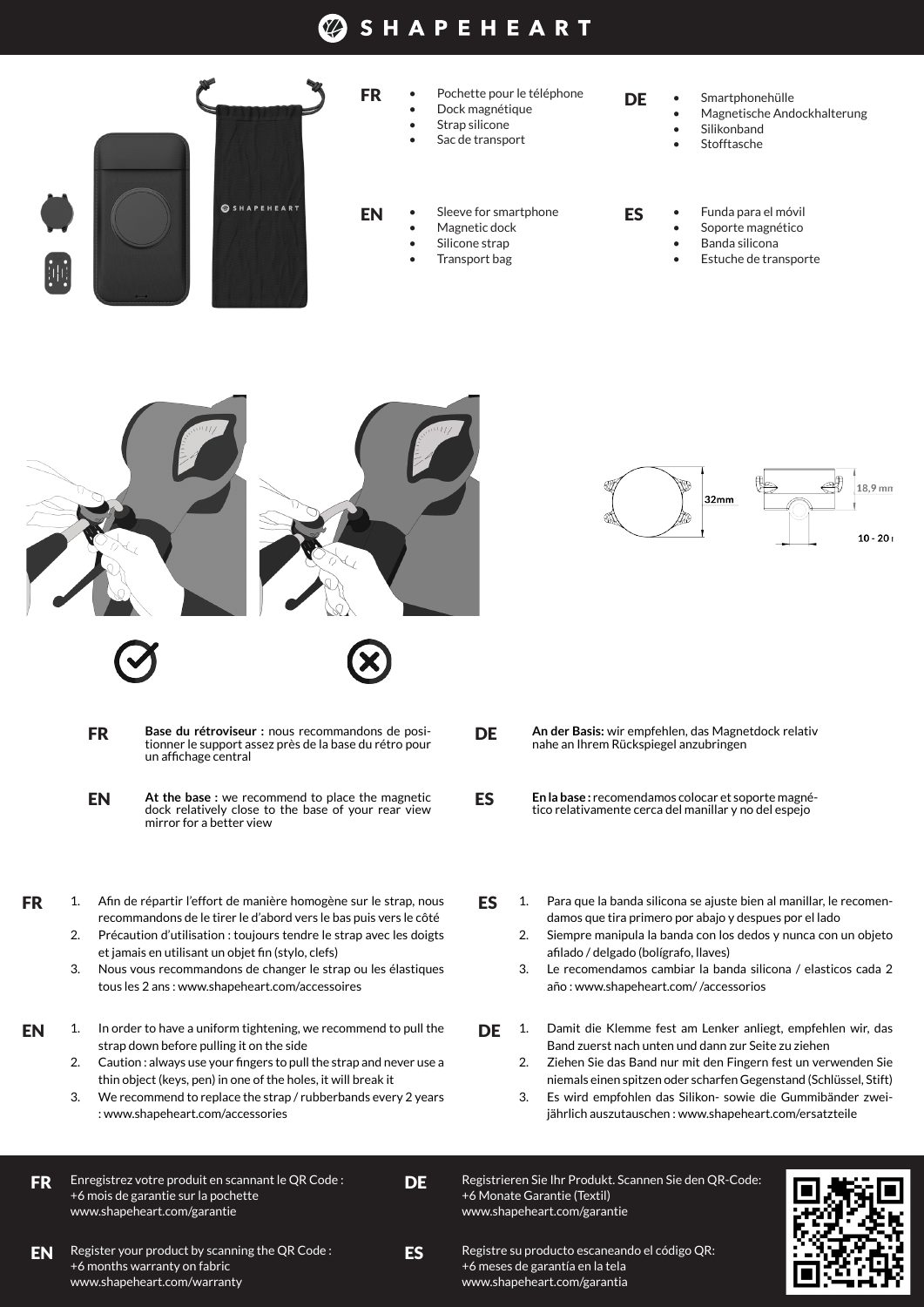## **SHAPEHEART**





- EN **At the base :** we recommend to place the magnetic dock relatively close to the base of your rear view mirror for a better view
- FR 1. Afin de répartir l'effort de manière homogène sur le strap, nous recommandons de le tirer le d'abord vers le bas puis vers le côté
	- 2. Précaution d'utilisation : toujours tendre le strap avec les doigts et jamais en utilisant un objet fin (stylo, clefs)
	- 3. Nous vous recommandons de changer le strap ou les élastiques tous les 2 ans : www.shapeheart.com/accessoires
- **EN** 1. In order to have a uniform tightening, we recommend to pull the  $\qquad$ strap down before pulling it on the side
	- 2. Caution : always use your fingers to pull the strap and never use a thin object (keys, pen) in one of the holes, it will break it
	- 3. We recommend to replace the strap / rubberbands every 2 years : www.shapeheart.com/accessories
- Enregistrez votre produit en scannant le QR Code : +6 mois de garantie sur la pochette www.shapeheart.com/garantie FR
- **DF**

ES

EN Register your product by scanning the QR Code : ES Registre su producto escaneando el código QR: +6 months warranty on fabric www.shapeheart.com/warranty

18.9 mm 32mm  $10 - 201$ 

- **DE An der Basis:** wir empfehlen, das Magnetdock relativ nahe an Ihrem Rückspiegel anzubringen
- ES **En la base :** recomendamos colocar et soporte magnético relativamente cerca del manillar y no del espejo
- ES 1. Para que la banda silicona se ajuste bien al manillar, le recomendamos que tira primero por abajo y despues por el lado
	- 2. Siempre manipula la banda con los dedos y nunca con un objeto afilado / delgado (bolígrafo, llaves)
	- 3. Le recomendamos cambiar la banda silicona / elasticos cada 2 año : www.shapeheart.com/ /accessorios
- DE 1. Damit die Klemme fest am Lenker anliegt, empfehlen wir, das Band zuerst nach unten und dann zur Seite zu ziehen
	- 2. Ziehen Sie das Band nur mit den Fingern fest un verwenden Sie niemals einen spitzen oder scharfen Gegenstand (Schlüssel, Stift)
	- 3. Es wird empfohlen das Silikon- sowie die Gummibänder zweijährlich auszutauschen : www.shapeheart.com/ersatzteile

Registrieren Sie Ihr Produkt. Scannen Sie den QR-Code: +6 Monate Garantie (Textil) www.shapeheart.com/garantie



+6 meses de garantía en la tela www.shapeheart.com/garantia